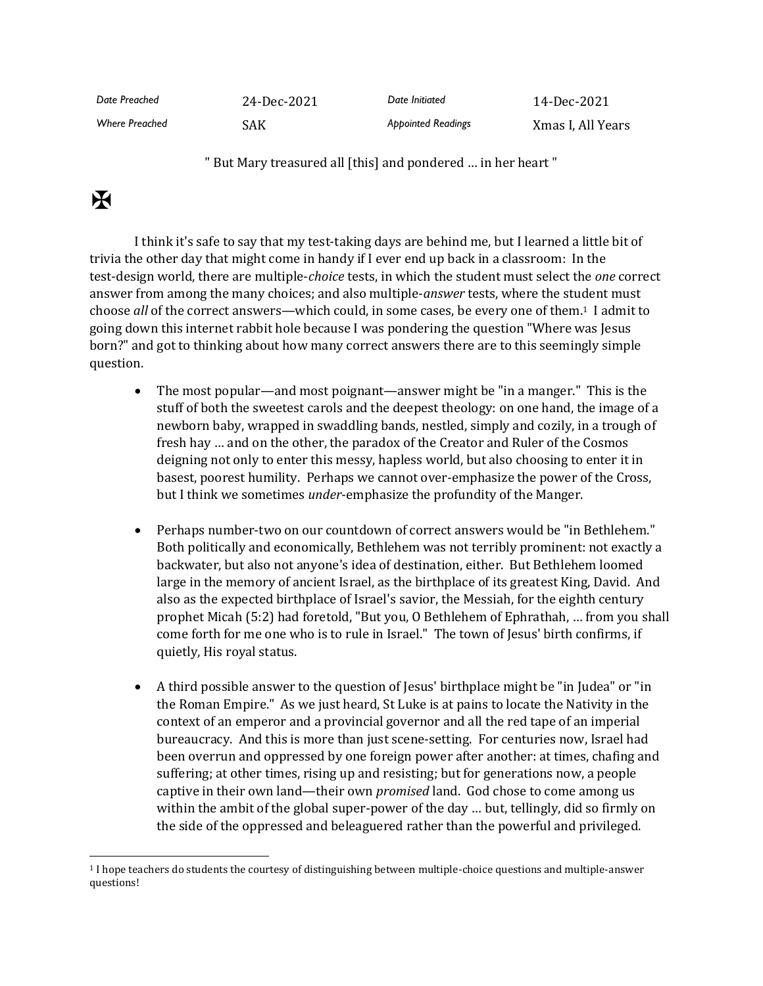| Date Preached         | 24-Dec-2021 | Date Initiated            | 14-Dec-2021       |
|-----------------------|-------------|---------------------------|-------------------|
| <b>Where Preached</b> | SAK         | <b>Appointed Readings</b> | Xmas I, All Years |

" But Mary treasured all [this] and pondered … in her heart "

## $\mathbf K$

I think it's safe to say that my test-taking days are behind me, but I learned a little bit of trivia the other day that might come in handy if I ever end up back in a classroom: In the test-design world, there are multiple-*choice* tests, in which the student must select the *one* correct answer from among the many choices; and also multiple-*answer* tests, where the student must choose *all* of the correct answers—which could, in some cases, be every one of them.1 I admit to going down this internet rabbit hole because I was pondering the question "Where was Jesus born?" and got to thinking about how many correct answers there are to this seemingly simple question.

- The most popular—and most poignant—answer might be "in a manger." This is the stuff of both the sweetest carols and the deepest theology: on one hand, the image of a newborn baby, wrapped in swaddling bands, nestled, simply and cozily, in a trough of fresh hay … and on the other, the paradox of the Creator and Ruler of the Cosmos deigning not only to enter this messy, hapless world, but also choosing to enter it in basest, poorest humility. Perhaps we cannot over-emphasize the power of the Cross, but I think we sometimes *under*-emphasize the profundity of the Manger.
- Perhaps number-two on our countdown of correct answers would be "in Bethlehem." Both politically and economically, Bethlehem was not terribly prominent: not exactly a backwater, but also not anyone's idea of destination, either. But Bethlehem loomed large in the memory of ancient Israel, as the birthplace of its greatest King, David. And also as the expected birthplace of Israel's savior, the Messiah, for the eighth century prophet Micah (5:2) had foretold, "But you, O Bethlehem of Ephrathah, … from you shall come forth for me one who is to rule in Israel." The town of Jesus' birth confirms, if quietly, His royal status.
- A third possible answer to the question of Jesus' birthplace might be "in Judea" or "in the Roman Empire." As we just heard, St Luke is at pains to locate the Nativity in the context of an emperor and a provincial governor and all the red tape of an imperial bureaucracy. And this is more than just scene-setting. For centuries now, Israel had been overrun and oppressed by one foreign power after another: at times, chafing and suffering; at other times, rising up and resisting; but for generations now, a people captive in their own land—their own *promised* land. God chose to come among us within the ambit of the global super-power of the day … but, tellingly, did so firmly on the side of the oppressed and beleaguered rather than the powerful and privileged.

<sup>1</sup> I hope teachers do students the courtesy of distinguishing between multiple-choice questions and multiple-answer questions!